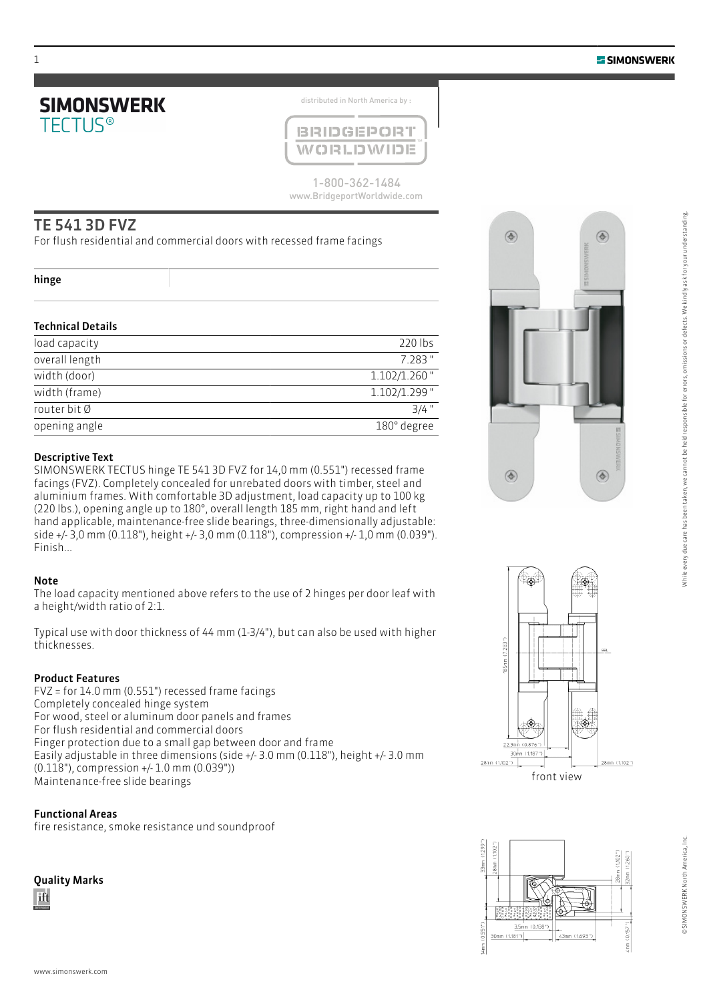

distributed in North America by :



1-800-362-1484 www.BridgeportWorldwide.com

# TE 541 3D FVZ

For flush residential and commercial doors with recessed frame facings

### hinge

## Technical Details

| load capacity  | 220 lbs         |
|----------------|-----------------|
| overall length | 7.283 "         |
| width (door)   | $1.102/1.260$ " |
| width (frame)  | $1.102/1.299$ " |
| router bit Ø   | $3/4$ "         |
| opening angle  | 180° degree     |

## Descriptive Text

SIMONSWERK TECTUS hinge TE 541 3D FVZ for 14,0 mm (0.551") recessed frame facings (FVZ). Completely concealed for unrebated doors with timber, steel and aluminium frames. With comfortable 3D adjustment, load capacity up to 100 kg (220 lbs.), opening angle up to 180°, overall length 185 mm, right hand and left hand applicable, maintenance-free slide bearings, three-dimensionally adjustable: side +/- 3,0 mm (0.118"), height +/- 3,0 mm (0.118"), compression +/- 1,0 mm (0.039"). Finish...

## Note

The load capacity mentioned above refers to the use of 2 hinges per door leaf with a height/width ratio of 2:1.

Typical use with door thickness of 44 mm (1-3/4"), but can also be used with higher thicknesses.

## Product Features

FVZ = for 14.0 mm (0.551") recessed frame facings Completely concealed hinge system For wood, steel or aluminum door panels and frames For flush residential and commercial doors Finger protection due to a small gap between door and frame Easily adjustable in three dimensions (side +/- 3.0 mm (0.118"), height +/- 3.0 mm (0.118"), compression +/- 1.0 mm (0.039")) Maintenance-free slide bearings

## Functional Areas

fire resistance, smoke resistance und soundproof

# Quality Marks







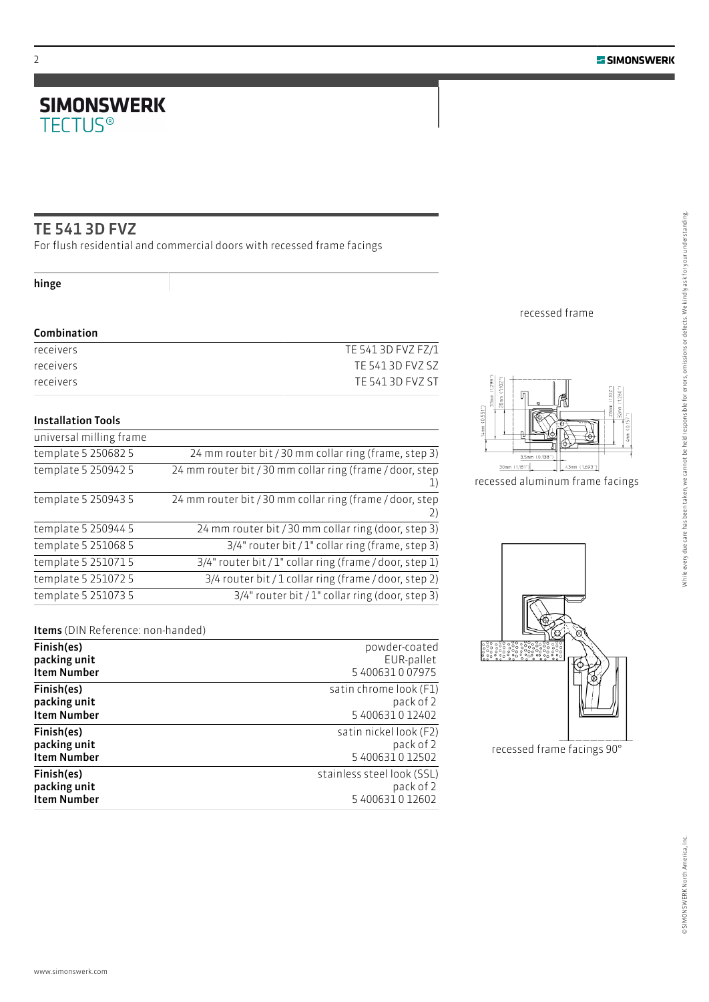# **SIMONSWERK**<br>TECTUS®

# TE 541 3D FVZ

For flush residential and commercial doors with recessed frame facings

# hinge

## Combination

| TE 541 3D FVZ FZ/1 |
|--------------------|
| TE 541 3D FVZ SZ   |
| TE 541 3D FVZ ST   |
|                    |

# Installation Tools

| universal milling frame |                                                                        |
|-------------------------|------------------------------------------------------------------------|
| template 5 250682 5     | 24 mm router bit / 30 mm collar ring (frame, step 3)                   |
| template 5 250942 5     | 24 mm router bit / 30 mm collar ring (frame / door, step<br>$_{\perp}$ |
| template 5 250943 5     | 24 mm router bit / 30 mm collar ring (frame / door, step<br>2)         |
| template 5 250944 5     | 24 mm router bit / 30 mm collar ring (door, step 3)                    |
| template 5 251068 5     | 3/4" router bit / 1" collar ring (frame, step 3)                       |
| template 5 251071 5     | 3/4" router bit / 1" collar ring (frame / door, step 1)                |
| template 5 251072 5     | 3/4 router bit / 1 collar ring (frame / door, step 2)                  |
| template 5 251073 5     | 3/4" router bit / 1" collar ring (door, step 3)                        |

# Items (DIN Reference: non-handed)

| Finish(es)         | powder-coated              |
|--------------------|----------------------------|
| packing unit       | EUR-pallet                 |
| <b>Item Number</b> | 5 400631 0 07975           |
| Finish(es)         | satin chrome look (F1)     |
| packing unit       | pack of 2                  |
| <b>Item Number</b> | 5400631012402              |
| Finish(es)         | satin nickel look (F2)     |
| packing unit       | pack of 2                  |
| <b>Item Number</b> | 5 400631 0 12502           |
| Finish(es)         | stainless steel look (SSL) |
| packing unit       | pack of 2                  |
| <b>Item Number</b> | 5 400631 0 12602           |

recessed frame



recessed aluminum frame facings



recessed frame facings 90°